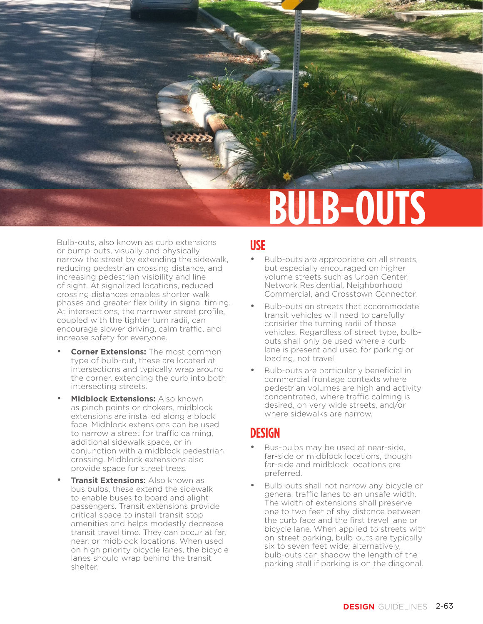

Bulb-outs, also known as curb extensions or bump-outs, visually and physically narrow the street by extending the sidewalk, reducing pedestrian crossing distance, and increasing pedestrian visibility and line of sight. At signalized locations, reduced crossing distances enables shorter walk phases and greater flexibility in signal timing. At intersections, the narrower street profile, coupled with the tighter turn radii, can encourage slower driving, calm traffic, and increase safety for everyone.

- **Corner Extensions: The most common** type of bulb-out, these are located at intersections and typically wrap around the corner, extending the curb into both intersecting streets.
- **Midblock Extensions:** Also known as pinch points or chokers, midblock extensions are installed along a block face. Midblock extensions can be used to narrow a street for traffic calming, additional sidewalk space, or in conjunction with a midblock pedestrian crossing. Midblock extensions also provide space for street trees.
- **Transit Extensions: Also known as** bus bulbs, these extend the sidewalk to enable buses to board and alight passengers. Transit extensions provide critical space to install transit stop amenities and helps modestly decrease transit travel time. They can occur at far, near, or midblock locations. When used on high priority bicycle lanes, the bicycle lanes should wrap behind the transit shelter.

#### **USE**

- Bulb-outs are appropriate on all streets, but especially encouraged on higher volume streets such as Urban Center, Network Residential, Neighborhood Commercial, and Crosstown Connector.
- Bulb-outs on streets that accommodate transit vehicles will need to carefully consider the turning radii of those vehicles. Regardless of street type, bulbouts shall only be used where a curb lane is present and used for parking or loading, not travel.
- Bulb-outs are particularly beneficial in commercial frontage contexts where pedestrian volumes are high and activity concentrated, where traffic calming is desired, on very wide streets, and/or where sidewalks are narrow.

## **DESIGN**

- Bus-bulbs may be used at near-side. far-side or midblock locations, though far-side and midblock locations are preferred.
- Bulb-outs shall not narrow any bicycle or general traffic lanes to an unsafe width. The width of extensions shall preserve one to two feet of shy distance between the curb face and the first travel lane or bicycle lane. When applied to streets with on-street parking, bulb-outs are typically six to seven feet wide; alternatively, bulb-outs can shadow the length of the parking stall if parking is on the diagonal.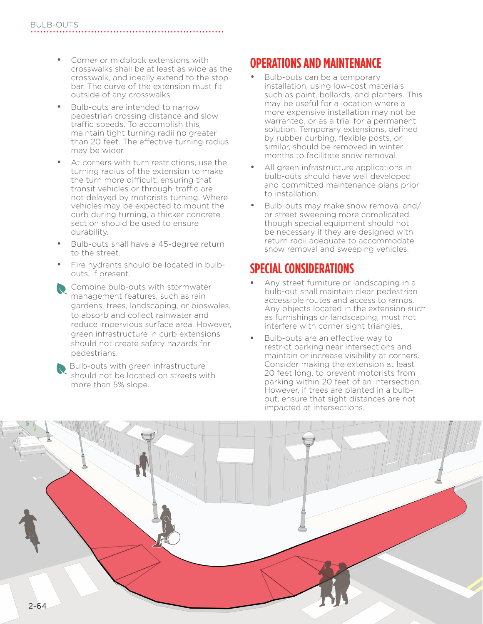- Corner or midblock extensions with crosswalks shall be at least as wide as the crosswalk, and ideally extend to the stop bar. The curve of the extension must fit outside of any crosswalks.
- Bulb-outs are intended to narrow pedestrian crossing distance and slow traffic speeds. To accomplish this, maintain tight turning radii no greater than 20 feet. The effective turning radius may be wider.
- At corners with turn restrictions, use the turning radius of the extension to make the turn more difficult, ensuring that transit vehicles or through-traffic are not delayed by motorists turning. Where vehicles may be expected to mount the curb during turning, a thicker concrete section should be used to ensure durability.
- Bulb-outs shall have a 45-degree return to the street.
- Fire hydrants should be located in bulbouts, if present.
- Combine bulb-outs with stormwater management features, such as rain gardens, trees, landscaping, or bioswales, to absorb and collect rainwater and reduce impervious surface area. However, green infrastructure in curb extensions should not create safety hazards for pedestrians.

**Bulb-outs with green infrastructure** should not be located on streets with more than 5% slope.

# **OPERATIONS AND MAINTENANCE**

- Bulb-outs can be a temporary installation, using low-cost materials such as paint, bollards, and planters. This may be useful for a location where a more expensive installation may not be warranted, or as a trial for a permanent solution. Temporary extensions, defined by rubber curbing, flexible posts, or similar, should be removed in winter months to facilitate snow removal.
- All green infrastructure applications in bulb-outs should have well developed and committed maintenance plans prior to installation.
- Bulb-outs may make snow removal and/ or street sweeping more complicated, though special equipment should not be necessary if they are designed with return radii adequate to accommodate snow removal and sweeping vehicles.

# **SPECIAL CONSIDERATIONS**

- Any street furniture or landscaping in a bulb-out shall maintain clear pedestrian accessible routes and access to ramps. Any objects located in the extension such as furnishings or landscaping, must not interfere with corner sight triangles.
- Bulb-outs are an effective way to restrict parking near intersections and maintain or increase visibility at corners. Consider making the extension at least 20 feet long, to prevent motorists from parking within 20 feet of an intersection. However, if trees are planted in a bulbout, ensure that sight distances are not impacted at intersections.